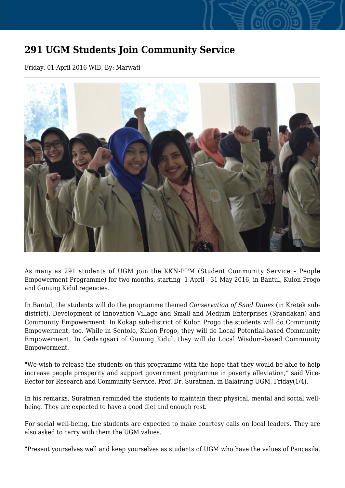## **291 UGM Students Join Community Service**

Friday, 01 April 2016 WIB, By: Marwati



As many as 291 students of UGM join the KKN-PPM (Student Community Service – People Empowerment Programme) for two months, starting 1 April - 31 May 2016, in Bantul, Kulon Progo and Gunung Kidul regencies.

In Bantul, the students will do the programme themed *Conservation of Sand Dunes* (in Kretek subdistrict), Development of Innovation Village and Small and Medium Enterprises (Srandakan) and Community Empowerment. In Kokap sub-district of Kulon Progo the students will do Community Empowerment, too. While in Sentolo, Kulon Progo, they will do Local Potential-based Community Empowerment. In Gedangsari of Gunung Kidul, they will do Local Wisdom-based Community Empowerment.

"We wish to release the students on this programme with the hope that they would be able to help increase people prosperity and support government programme in poverty alleviation," said Vice-Rector for Research and Community Service, Prof. Dr. Suratman, in Balairung UGM, Friday(1/4).

In his remarks, Suratman reminded the students to maintain their physical, mental and social wellbeing. They are expected to have a good diet and enough rest.

For social well-being, the students are expected to make courtesy calls on local leaders. They are also asked to carry with them the UGM values.

"Present yourselves well and keep yourselves as students of UGM who have the values of Pancasila,